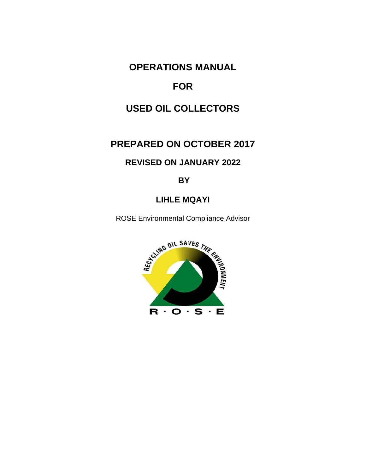# **OPERATIONS MANUAL**

# **FOR**

# **USED OIL COLLECTORS**

# **PREPARED ON OCTOBER 2017**

## **REVISED ON JANUARY 2022**

## **BY**

# **LIHLE MQAYI**

ROSE Environmental Compliance Advisor

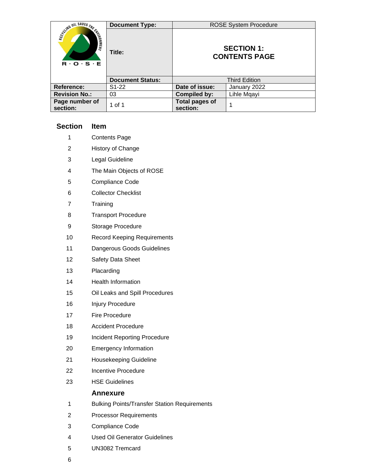|                                                                                 | <b>Document Type:</b>   |                                           | <b>ROSE System Procedure</b> |  |  |  |  |
|---------------------------------------------------------------------------------|-------------------------|-------------------------------------------|------------------------------|--|--|--|--|
| Scilling on SAVES THE<br><b>ENTERNATION REAL</b><br>$R \cdot O \cdot S \cdot E$ | Title:                  | <b>SECTION 1:</b><br><b>CONTENTS PAGE</b> |                              |  |  |  |  |
|                                                                                 | <b>Document Status:</b> |                                           | <b>Third Edition</b>         |  |  |  |  |
| Reference:                                                                      | S1-22                   | Date of issue:                            | January 2022                 |  |  |  |  |
| <b>Revision No.:</b>                                                            | 03                      | <b>Compiled by:</b>                       | Lihle Mqayi                  |  |  |  |  |
| Page number of<br>section:                                                      | 1 of 1                  | <b>Total pages of</b><br>section:         |                              |  |  |  |  |

## **Section Item**

- Contents Page
- History of Change
- Legal Guideline
- The Main Objects of ROSE
- Compliance Code
- Collector Checklist
- Training
- Transport Procedure
- Storage Procedure
- Record Keeping Requirements
- Dangerous Goods Guidelines
- Safety Data Sheet
- Placarding
- Health Information
- Oil Leaks and Spill Procedures
- Injury Procedure
- Fire Procedure
- Accident Procedure
- 19 Incident Reporting Procedure
- Emergency Information
- Housekeeping Guideline
- Incentive Procedure
- HSE Guidelines

### **Annexure**

- Bulking Points/Transfer Station Requirements
- Processor Requirements
- Compliance Code
- Used Oil Generator Guidelines
- UN3082 Tremcard
-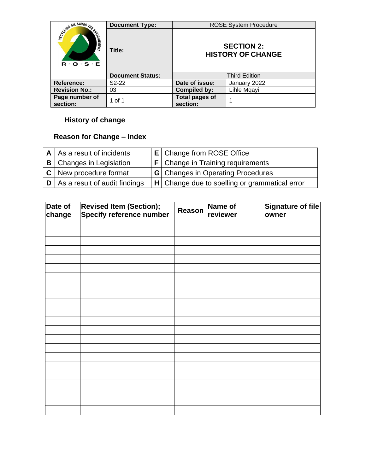|                                                                          | <b>Document Type:</b>   |                                   | <b>ROSE System Procedure</b>                  |
|--------------------------------------------------------------------------|-------------------------|-----------------------------------|-----------------------------------------------|
| SCUMB OIL SAVES THE<br><b>ENTERNATION</b><br>$R \cdot O \cdot S \cdot E$ | Title:                  |                                   | <b>SECTION 2:</b><br><b>HISTORY OF CHANGE</b> |
|                                                                          | <b>Document Status:</b> |                                   | <b>Third Edition</b>                          |
| Reference:                                                               | $S2-22$                 | Date of issue:                    | January 2022                                  |
| <b>Revision No.:</b>                                                     | 03                      | <b>Compiled by:</b>               | Lihle Mqayi                                   |
| Page number of<br>section:                                               | 1 of 1                  | <b>Total pages of</b><br>section: |                                               |

# **History of change**

# **Reason for Change – Index**

| $A \mid As$ a result of incidents   | <b>E</b> Change from ROSE Office                |
|-------------------------------------|-------------------------------------------------|
| <b>B</b> Changes in Legislation     | $F$ Change in Training requirements             |
| $ C $ New procedure format          | <b>G</b> Changes in Operating Procedures        |
| $ D $ As a result of audit findings | H   Change due to spelling or grammatical error |

| Date of<br>change | <b>Revised Item (Section);<br/>Specify reference number</b> | Reason | Name of<br>reviewer | Signature of file<br>owner |
|-------------------|-------------------------------------------------------------|--------|---------------------|----------------------------|
|                   |                                                             |        |                     |                            |
|                   |                                                             |        |                     |                            |
|                   |                                                             |        |                     |                            |
|                   |                                                             |        |                     |                            |
|                   |                                                             |        |                     |                            |
|                   |                                                             |        |                     |                            |
|                   |                                                             |        |                     |                            |
|                   |                                                             |        |                     |                            |
|                   |                                                             |        |                     |                            |
|                   |                                                             |        |                     |                            |
|                   |                                                             |        |                     |                            |
|                   |                                                             |        |                     |                            |
|                   |                                                             |        |                     |                            |
|                   |                                                             |        |                     |                            |
|                   |                                                             |        |                     |                            |
|                   |                                                             |        |                     |                            |
|                   |                                                             |        |                     |                            |
|                   |                                                             |        |                     |                            |
|                   |                                                             |        |                     |                            |
|                   |                                                             |        |                     |                            |
|                   |                                                             |        |                     |                            |
|                   |                                                             |        |                     |                            |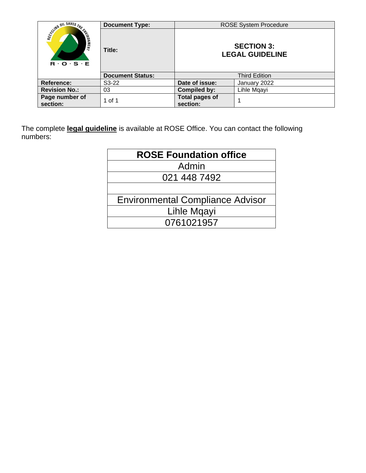|                                                                                                 | <b>Document Type:</b>   |                                   | <b>ROSE System Procedure</b>                |
|-------------------------------------------------------------------------------------------------|-------------------------|-----------------------------------|---------------------------------------------|
| Scyling OIL SAVES THE CHARGE<br>$\mathbf{R} \cdot \mathbf{O} \cdot \mathbf{S} \cdot \mathbf{E}$ | Title:                  |                                   | <b>SECTION 3:</b><br><b>LEGAL GUIDELINE</b> |
|                                                                                                 | <b>Document Status:</b> |                                   | <b>Third Edition</b>                        |
| <b>Reference:</b>                                                                               | $S3-22$                 | Date of issue:                    | January 2022                                |
| <b>Revision No.:</b>                                                                            | 03                      | <b>Compiled by:</b>               | Lihle Mgayi                                 |
| Page number of<br>section:                                                                      | 1 of 1                  | <b>Total pages of</b><br>section: |                                             |

The complete **legal guideline** is available at ROSE Office. You can contact the following numbers: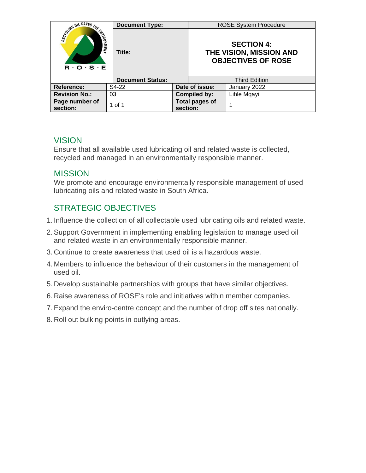|                                                                   | <b>Document Type:</b>   |  |                                   | <b>ROSE System Procedure</b>                                              |  |  |  |  |
|-------------------------------------------------------------------|-------------------------|--|-----------------------------------|---------------------------------------------------------------------------|--|--|--|--|
| <b>COUNTRY OIL SAVES THE CALLS</b><br>$R \cdot O \cdot S \cdot E$ | Title:                  |  |                                   | <b>SECTION 4:</b><br>THE VISION, MISSION AND<br><b>OBJECTIVES OF ROSE</b> |  |  |  |  |
|                                                                   | <b>Document Status:</b> |  |                                   | <b>Third Edition</b>                                                      |  |  |  |  |
| <b>Reference:</b>                                                 | S4-22                   |  | Date of issue:                    | January 2022                                                              |  |  |  |  |
| <b>Revision No.:</b>                                              | 03                      |  | <b>Compiled by:</b>               | Lihle Mqayi                                                               |  |  |  |  |
| Page number of<br>section:                                        | 1 of 1                  |  | <b>Total pages of</b><br>section: |                                                                           |  |  |  |  |

# **VISION**

Ensure that all available used lubricating oil and related waste is collected, recycled and managed in an environmentally responsible manner.

# **MISSION**

We promote and encourage environmentally responsible management of used lubricating oils and related waste in South Africa.

# STRATEGIC OBJECTIVES

- 1. Influence the collection of all collectable used lubricating oils and related waste.
- 2.Support Government in implementing enabling legislation to manage used oil and related waste in an environmentally responsible manner.
- 3. Continue to create awareness that used oil is a hazardous waste.
- 4. Members to influence the behaviour of their customers in the management of used oil.
- 5. Develop sustainable partnerships with groups that have similar objectives.
- 6. Raise awareness of ROSE's role and initiatives within member companies.
- 7.Expand the enviro-centre concept and the number of drop off sites nationally.
- 8. Roll out bulking points in outlying areas.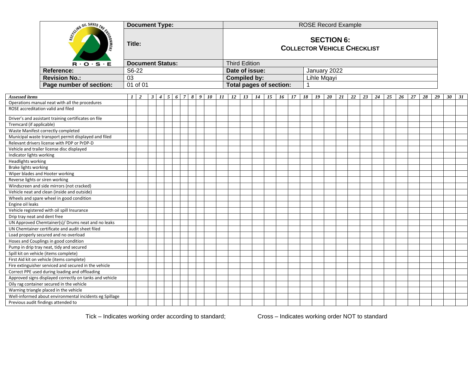|                                                         |              | <b>Document Type:</b> |                         |  |  |  |  | <b>ROSE Record Example</b> |                                                         |  |                      |  |                                |               |                             |  |             |    |    |    |    |    |    |    |    |    |    |                 |    |
|---------------------------------------------------------|--------------|-----------------------|-------------------------|--|--|--|--|----------------------------|---------------------------------------------------------|--|----------------------|--|--------------------------------|---------------|-----------------------------|--|-------------|----|----|----|----|----|----|----|----|----|----|-----------------|----|
| SCUMB OIL SAVES THE<br><b>ARONMENT</b>                  |              |                       | Title:                  |  |  |  |  |                            | <b>SECTION 6:</b><br><b>COLLECTOR VEHICLE CHECKLIST</b> |  |                      |  |                                |               |                             |  |             |    |    |    |    |    |    |    |    |    |    |                 |    |
| $R \cdot O \cdot S \cdot E$                             |              |                       | <b>Document Status:</b> |  |  |  |  |                            |                                                         |  | <b>Third Edition</b> |  |                                |               |                             |  |             |    |    |    |    |    |    |    |    |    |    |                 |    |
| <b>Reference:</b>                                       |              | S6-22                 |                         |  |  |  |  |                            |                                                         |  | Date of issue:       |  |                                |               |                             |  |             |    |    |    |    |    |    |    |    |    |    |                 |    |
| <b>Revision No.:</b>                                    | 03           |                       |                         |  |  |  |  |                            |                                                         |  | <b>Compiled by:</b>  |  |                                |               | January 2022<br>Lihle Mqayi |  |             |    |    |    |    |    |    |    |    |    |    |                 |    |
| Page number of section:                                 |              | 01 of 01              |                         |  |  |  |  |                            |                                                         |  |                      |  | <b>Total pages of section:</b> |               |                             |  |             |    |    |    |    |    |    |    |    |    |    |                 |    |
|                                                         |              |                       |                         |  |  |  |  |                            |                                                         |  |                      |  |                                |               |                             |  |             |    |    |    |    |    |    |    |    |    |    |                 |    |
| Assessed items                                          | $\mathbf{I}$ | $\overline{2}$        | $\mathbf{3}$            |  |  |  |  |                            | $4 \mid 5 \mid 6 \mid 7 \mid 8 \mid 9 \mid 10 \mid 11$  |  |                      |  |                                | $15 \quad 16$ | 17                          |  | $18$   $19$ | 20 | 21 | 22 | 23 | 24 | 25 | 26 | 27 | 28 | 29 | 30 <sup>°</sup> | 31 |
| Operations manual neat with all the procedures          |              |                       |                         |  |  |  |  |                            |                                                         |  |                      |  |                                |               |                             |  |             |    |    |    |    |    |    |    |    |    |    |                 |    |
| ROSE accreditation valid and filed                      |              |                       |                         |  |  |  |  |                            |                                                         |  |                      |  |                                |               |                             |  |             |    |    |    |    |    |    |    |    |    |    |                 |    |
| Driver's and assistant training certificates on file    |              |                       |                         |  |  |  |  |                            |                                                         |  |                      |  |                                |               |                             |  |             |    |    |    |    |    |    |    |    |    |    |                 |    |
| Tremcard (if applicable)                                |              |                       |                         |  |  |  |  |                            |                                                         |  |                      |  |                                |               |                             |  |             |    |    |    |    |    |    |    |    |    |    |                 |    |
| Waste Manifest correctly completed                      |              |                       |                         |  |  |  |  |                            |                                                         |  |                      |  |                                |               |                             |  |             |    |    |    |    |    |    |    |    |    |    |                 |    |
| Municipal waste transport permit displayed and filed    |              |                       |                         |  |  |  |  |                            |                                                         |  |                      |  |                                |               |                             |  |             |    |    |    |    |    |    |    |    |    |    |                 |    |
| Relevant drivers license with PDP or PrDP-D             |              |                       |                         |  |  |  |  |                            |                                                         |  |                      |  |                                |               |                             |  |             |    |    |    |    |    |    |    |    |    |    |                 |    |
| Vehicle and trailer license disc displayed              |              |                       |                         |  |  |  |  |                            |                                                         |  |                      |  |                                |               |                             |  |             |    |    |    |    |    |    |    |    |    |    |                 |    |
| Indicator lights working                                |              |                       |                         |  |  |  |  |                            |                                                         |  |                      |  |                                |               |                             |  |             |    |    |    |    |    |    |    |    |    |    |                 |    |
| Headlights working                                      |              |                       |                         |  |  |  |  |                            |                                                         |  |                      |  |                                |               |                             |  |             |    |    |    |    |    |    |    |    |    |    |                 |    |
| Brake lights working                                    |              |                       |                         |  |  |  |  |                            |                                                         |  |                      |  |                                |               |                             |  |             |    |    |    |    |    |    |    |    |    |    |                 |    |
| Wiper blades and Hooter working                         |              |                       |                         |  |  |  |  |                            |                                                         |  |                      |  |                                |               |                             |  |             |    |    |    |    |    |    |    |    |    |    |                 |    |
| Reverse lights or siren working                         |              |                       |                         |  |  |  |  |                            |                                                         |  |                      |  |                                |               |                             |  |             |    |    |    |    |    |    |    |    |    |    |                 |    |
| Windscreen and side mirrors (not cracked)               |              |                       |                         |  |  |  |  |                            |                                                         |  |                      |  |                                |               |                             |  |             |    |    |    |    |    |    |    |    |    |    |                 |    |
| Vehicle neat and clean (inside and outside)             |              |                       |                         |  |  |  |  |                            |                                                         |  |                      |  |                                |               |                             |  |             |    |    |    |    |    |    |    |    |    |    |                 |    |
| Wheels and spare wheel in good condition                |              |                       |                         |  |  |  |  |                            |                                                         |  |                      |  |                                |               |                             |  |             |    |    |    |    |    |    |    |    |    |    |                 |    |
| Engine oil leaks                                        |              |                       |                         |  |  |  |  |                            |                                                         |  |                      |  |                                |               |                             |  |             |    |    |    |    |    |    |    |    |    |    |                 |    |
| Vehicle registered with oil spill Insurance             |              |                       |                         |  |  |  |  |                            |                                                         |  |                      |  |                                |               |                             |  |             |    |    |    |    |    |    |    |    |    |    |                 |    |
| Drip tray neat and dent free                            |              |                       |                         |  |  |  |  |                            |                                                         |  |                      |  |                                |               |                             |  |             |    |    |    |    |    |    |    |    |    |    |                 |    |
| UN Approved Chemtainer(s)/ Drums neat and no leaks      |              |                       |                         |  |  |  |  |                            |                                                         |  |                      |  |                                |               |                             |  |             |    |    |    |    |    |    |    |    |    |    |                 |    |
| UN Chemtainer certificate and audit sheet filed         |              |                       |                         |  |  |  |  |                            |                                                         |  |                      |  |                                |               |                             |  |             |    |    |    |    |    |    |    |    |    |    |                 |    |
| Load properly secured and no overload                   |              |                       |                         |  |  |  |  |                            |                                                         |  |                      |  |                                |               |                             |  |             |    |    |    |    |    |    |    |    |    |    |                 |    |
| Hoses and Couplings in good condition                   |              |                       |                         |  |  |  |  |                            |                                                         |  |                      |  |                                |               |                             |  |             |    |    |    |    |    |    |    |    |    |    |                 |    |
| Pump in drip tray neat, tidy and secured                |              |                       |                         |  |  |  |  |                            |                                                         |  |                      |  |                                |               |                             |  |             |    |    |    |    |    |    |    |    |    |    |                 |    |
| Spill kit on vehicle (items complete)                   |              |                       |                         |  |  |  |  |                            |                                                         |  |                      |  |                                |               |                             |  |             |    |    |    |    |    |    |    |    |    |    |                 |    |
| First Aid kit on vehicle (items complete)               |              |                       |                         |  |  |  |  |                            |                                                         |  |                      |  |                                |               |                             |  |             |    |    |    |    |    |    |    |    |    |    |                 |    |
| Fire extinguisher serviced and secured in the vehicle   |              |                       |                         |  |  |  |  |                            |                                                         |  |                      |  |                                |               |                             |  |             |    |    |    |    |    |    |    |    |    |    |                 |    |
| Correct PPE used during loading and offloading          |              |                       |                         |  |  |  |  |                            |                                                         |  |                      |  |                                |               |                             |  |             |    |    |    |    |    |    |    |    |    |    |                 |    |
| Approved signs displayed correctly on tanks and vehicle |              |                       |                         |  |  |  |  |                            |                                                         |  |                      |  |                                |               |                             |  |             |    |    |    |    |    |    |    |    |    |    |                 |    |
| Oily rag container secured in the vehicle               |              |                       |                         |  |  |  |  |                            |                                                         |  |                      |  |                                |               |                             |  |             |    |    |    |    |    |    |    |    |    |    |                 |    |
| Warning triangle placed in the vehicle                  |              |                       |                         |  |  |  |  |                            |                                                         |  |                      |  |                                |               |                             |  |             |    |    |    |    |    |    |    |    |    |    |                 |    |
| Well-informed about environmental incidents eg Spillage |              |                       |                         |  |  |  |  |                            |                                                         |  |                      |  |                                |               |                             |  |             |    |    |    |    |    |    |    |    |    |    |                 |    |
| Previous audit findings attended to                     |              |                       |                         |  |  |  |  |                            |                                                         |  |                      |  |                                |               |                             |  |             |    |    |    |    |    |    |    |    |    |    |                 |    |

Tick – Indicates working order according to standard; Cross – Indicates working order NOT to standard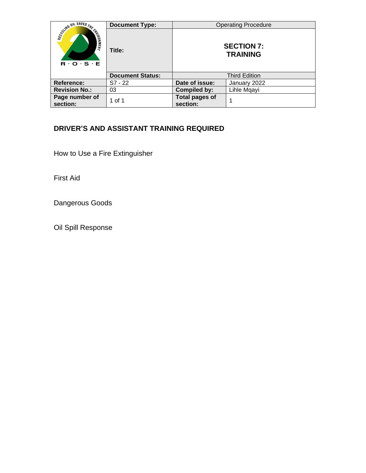|                                                                                                                   | <b>Document Type:</b>   |                                      | <b>Operating Procedure</b> |  |  |  |  |
|-------------------------------------------------------------------------------------------------------------------|-------------------------|--------------------------------------|----------------------------|--|--|--|--|
| <b>SCHWE DIL SAVES THE CHARGE TO BE SERVED</b><br>$\mathbf{R} \cdot \mathbf{O} \cdot \mathbf{S} \cdot \mathbf{E}$ | Title:                  | <b>SECTION 7:</b><br><b>TRAINING</b> |                            |  |  |  |  |
|                                                                                                                   | <b>Document Status:</b> |                                      | <b>Third Edition</b>       |  |  |  |  |
| Reference:                                                                                                        | $S7 - 22$               | Date of issue:                       | January 2022               |  |  |  |  |
| <b>Revision No.:</b>                                                                                              | 03                      | <b>Compiled by:</b>                  | Lihle Mqayi                |  |  |  |  |
| Page number of<br>section:                                                                                        | 1 of 1                  | <b>Total pages of</b><br>section:    |                            |  |  |  |  |

## **DRIVER'S AND ASSISTANT TRAINING REQUIRED**

How to Use a Fire Extinguisher

First Aid

Dangerous Goods

Oil Spill Response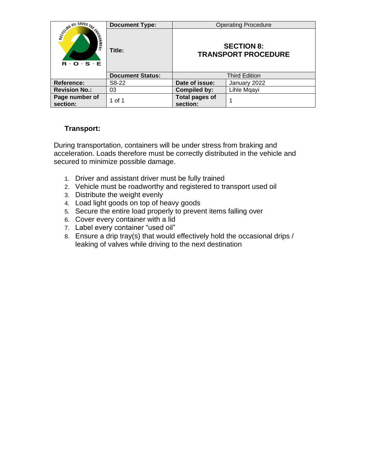|                                                                      | <b>Document Type:</b>   |                                   | <b>Operating Procedure</b>                      |
|----------------------------------------------------------------------|-------------------------|-----------------------------------|-------------------------------------------------|
| SCUMB OIL SAVES THE<br><b>ENLIERS</b><br>$R \cdot O \cdot S \cdot E$ | Title:                  |                                   | <b>SECTION 8:</b><br><b>TRANSPORT PROCEDURE</b> |
|                                                                      | <b>Document Status:</b> |                                   | <b>Third Edition</b>                            |
| Reference:                                                           | S8-22                   | Date of issue:                    | January 2022                                    |
| <b>Revision No.:</b>                                                 | 03                      | <b>Compiled by:</b>               | Lihle Mqayi                                     |
| Page number of<br>section:                                           | 1 of 1                  | <b>Total pages of</b><br>section: |                                                 |

## **Transport:**

During transportation, containers will be under stress from braking and acceleration. Loads therefore must be correctly distributed in the vehicle and secured to minimize possible damage.

- 1. Driver and assistant driver must be fully trained
- 2. Vehicle must be roadworthy and registered to transport used oil
- 3. Distribute the weight evenly
- 4. Load light goods on top of heavy goods
- 5. Secure the entire load properly to prevent items falling over
- 6. Cover every container with a lid
- 7. Label every container "used oil"
- 8. Ensure a drip tray(s) that would effectively hold the occasional drips / leaking of valves while driving to the next destination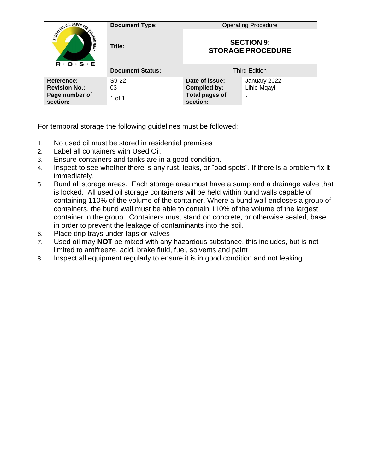|                                                                                                       | <b>Document Type:</b>   |                                   | <b>Operating Procedure</b>                    |  |  |
|-------------------------------------------------------------------------------------------------------|-------------------------|-----------------------------------|-----------------------------------------------|--|--|
| <b>COUNTRY OIL SAVES THE CALLS</b><br>$\mathbf{R} \cdot \mathbf{O} \cdot \mathbf{S} \cdot \mathbf{E}$ | Title:                  |                                   | <b>SECTION 9:</b><br><b>STORAGE PROCEDURE</b> |  |  |
|                                                                                                       | <b>Document Status:</b> |                                   | <b>Third Edition</b>                          |  |  |
| <b>Reference:</b>                                                                                     | S9-22                   | Date of issue:                    | January 2022                                  |  |  |
| <b>Revision No.:</b>                                                                                  | 03                      | <b>Compiled by:</b>               | Lihle Mgayi                                   |  |  |
| Page number of<br>section:                                                                            | 1 of 1                  | <b>Total pages of</b><br>section: |                                               |  |  |

For temporal storage the following guidelines must be followed:

- 1. No used oil must be stored in residential premises
- 2. Label all containers with Used Oil.
- 3. Ensure containers and tanks are in a good condition.
- 4. Inspect to see whether there is any rust, leaks, or "bad spots". If there is a problem fix it immediately.
- 5. Bund all storage areas. Each storage area must have a sump and a drainage valve that is locked. All used oil storage containers will be held within bund walls capable of containing 110% of the volume of the container. Where a bund wall encloses a group of containers, the bund wall must be able to contain 110% of the volume of the largest container in the group. Containers must stand on concrete, or otherwise sealed, base in order to prevent the leakage of contaminants into the soil.
- 6. Place drip trays under taps or valves
- 7. Used oil may **NOT** be mixed with any hazardous substance, this includes, but is not limited to antifreeze, acid, brake fluid, fuel, solvents and paint
- 8. Inspect all equipment regularly to ensure it is in good condition and not leaking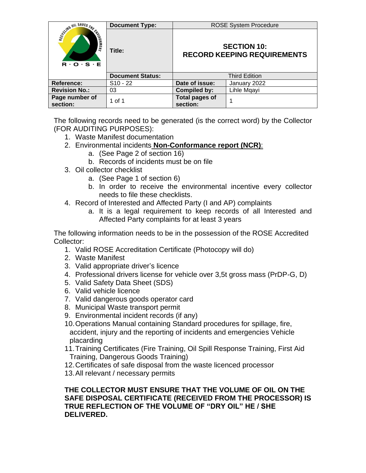|                                                                      | <b>Document Type:</b>   |                                   | <b>ROSE System Procedure</b>                             |
|----------------------------------------------------------------------|-------------------------|-----------------------------------|----------------------------------------------------------|
| SCIMB OIL SAVES THE<br><b>ENLIERS</b><br>$R \cdot O \cdot S \cdot E$ | Title:                  |                                   | <b>SECTION 10:</b><br><b>RECORD KEEPING REQUIREMENTS</b> |
|                                                                      | <b>Document Status:</b> |                                   | <b>Third Edition</b>                                     |
| <b>Reference:</b>                                                    | $S10 - 22$              | Date of issue:                    | January 2022                                             |
| <b>Revision No.:</b>                                                 | 03                      | <b>Compiled by:</b>               | Lihle Mqayi                                              |
| Page number of<br>section:                                           | 1 of 1                  | <b>Total pages of</b><br>section: |                                                          |

The following records need to be generated (is the correct word) by the Collector (FOR AUDITING PURPOSES):

- 1. Waste Manifest documentation
- 2. Environmental incidents **Non-Conformance report (NCR)**:
	- a. (See Page 2 of section 16)
		- b. Records of incidents must be on file
- 3. Oil collector checklist
	- a. (See Page 1 of section 6)
	- b. In order to receive the environmental incentive every collector needs to file these checklists.
- 4. Record of Interested and Affected Party (I and AP) complaints
	- a. It is a legal requirement to keep records of all Interested and Affected Party complaints for at least 3 years

The following information needs to be in the possession of the ROSE Accredited Collector:

- 1. Valid ROSE Accreditation Certificate (Photocopy will do)
- 2. Waste Manifest
- 3. Valid appropriate driver's licence
- 4. Professional drivers license for vehicle over 3,5t gross mass (PrDP-G, D)
- 5. Valid Safety Data Sheet (SDS)
- 6. Valid vehicle licence
- 7. Valid dangerous goods operator card
- 8. Municipal Waste transport permit
- 9. Environmental incident records (if any)
- 10.Operations Manual containing Standard procedures for spillage, fire, accident, injury and the reporting of incidents and emergencies Vehicle placarding
- 11.Training Certificates (Fire Training, Oil Spill Response Training, First Aid Training, Dangerous Goods Training)
- 12.Certificates of safe disposal from the waste licenced processor
- 13.All relevant / necessary permits

**THE COLLECTOR MUST ENSURE THAT THE VOLUME OF OIL ON THE SAFE DISPOSAL CERTIFICATE (RECEIVED FROM THE PROCESSOR) IS TRUE REFLECTION OF THE VOLUME OF "DRY OIL" HE / SHE DELIVERED.**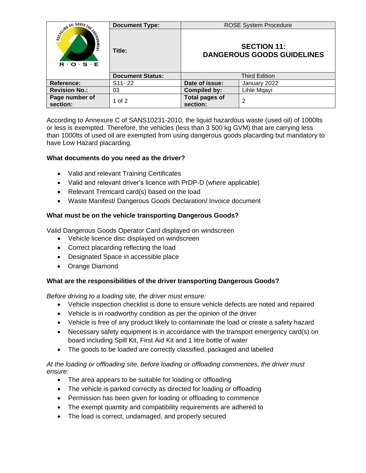|                                                                    | <b>Document Type:</b>   |                                                         | <b>ROSE System Procedure</b> |  |
|--------------------------------------------------------------------|-------------------------|---------------------------------------------------------|------------------------------|--|
| <b>SCOTTING OIL SAVES THE CALLS</b><br>$R \cdot O \cdot S \cdot E$ | Title:                  | <b>SECTION 11:</b><br><b>DANGEROUS GOODS GUIDELINES</b> |                              |  |
|                                                                    | <b>Document Status:</b> | <b>Third Edition</b>                                    |                              |  |
| Reference:                                                         | $S11 - 22$              | Date of issue:                                          | January 2022                 |  |
| <b>Revision No.:</b>                                               | 03                      | <b>Compiled by:</b>                                     | Lihle Mqayi                  |  |
| Page number of<br>section:                                         | 1 of 2                  | <b>Total pages of</b><br>section:                       | 2                            |  |

According to Annexure C of SANS10231-2010, the liquid hazardous waste (used oil) of 1000lts or less is exempted. Therefore, the vehicles (less than 3 500 kg GVM) that are carrying less than 1000lts of used oil are exempted from using dangerous goods placarding but mandatory to have Low Hazard placarding.

## **What documents do you need as the driver?**

- Valid and relevant Training Certificates
- Valid and relevant driver's licence with PrDP-D (where applicable)
- Relevant Tremcard card(s) based on the load
- Waste Manifest/ Dangerous Goods Declaration/ Invoice document

## **What must be on the vehicle transporting Dangerous Goods?**

Valid Dangerous Goods Operator Card displayed on windscreen

- Vehicle licence disc displayed on windscreen
- Correct placarding reflecting the load
- Designated Space in accessible place
- Orange Diamond

## **What are the responsibilities of the driver transporting Dangerous Goods?**

*Before driving to a loading site, the driver must ensure:*

- Vehicle inspection checklist is done to ensure vehicle defects are noted and repaired
- Vehicle is in roadworthy condition as per the opinion of the driver
- Vehicle is free of any product likely to contaminate the load or create a safety hazard
- Necessary safety equipment is in accordance with the transport emergency card(s) on board including Spill Kit, First Aid Kit and 1 litre bottle of water
- The goods to be loaded are correctly classified, packaged and labelled

## *At the loading or offloading site, before loading or offloading commences, the driver must ensure:*

- The area appears to be suitable for loading or offloading
- The vehicle is parked correctly as directed for loading or offloading
- Permission has been given for loading or offloading to commence
- The exempt quantity and compatibility requirements are adhered to
- The load is correct, undamaged, and properly secured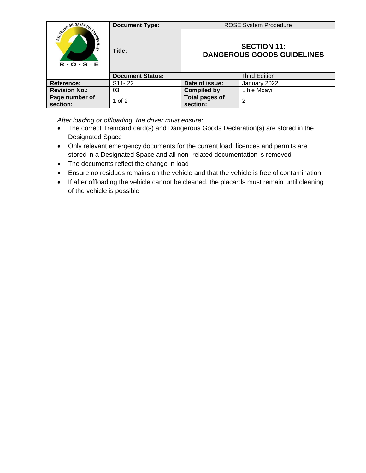|                                                          | <b>Document Type:</b>   | <b>ROSE System Procedure</b>                            |              |
|----------------------------------------------------------|-------------------------|---------------------------------------------------------|--------------|
| SCOTING OIL SAVES THE ENT<br>$R \cdot Q \cdot S \cdot E$ | Title:                  | <b>SECTION 11:</b><br><b>DANGEROUS GOODS GUIDELINES</b> |              |
|                                                          | <b>Document Status:</b> | <b>Third Edition</b>                                    |              |
| Reference:                                               | S <sub>11</sub> -22     | Date of issue:                                          | January 2022 |
| <b>Revision No.:</b>                                     | 03                      | <b>Compiled by:</b>                                     | Lihle Mqayi  |
| Page number of<br>section:                               | 1 of 2                  | <b>Total pages of</b><br>section:                       | 2            |

*After loading or offloading, the driver must ensure:*

- The correct Tremcard card(s) and Dangerous Goods Declaration(s) are stored in the Designated Space
- Only relevant emergency documents for the current load, licences and permits are stored in a Designated Space and all non- related documentation is removed
- The documents reflect the change in load
- Ensure no residues remains on the vehicle and that the vehicle is free of contamination
- If after offloading the vehicle cannot be cleaned, the placards must remain until cleaning of the vehicle is possible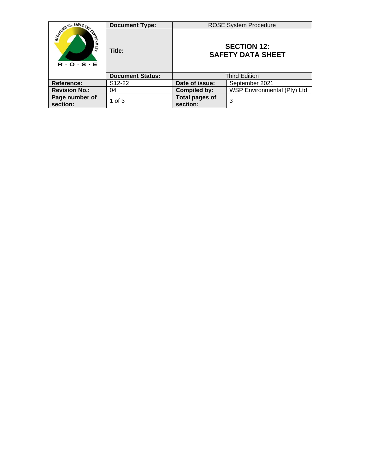|                                                                      | <b>Document Type:</b>   |                                                | <b>ROSE System Procedure</b> |
|----------------------------------------------------------------------|-------------------------|------------------------------------------------|------------------------------|
| SCHWW UIL SAVES THE<br><b>ENLINER</b><br>$R \cdot O \cdot S \cdot E$ | Title:                  | <b>SECTION 12:</b><br><b>SAFETY DATA SHEET</b> |                              |
|                                                                      | <b>Document Status:</b> |                                                | <b>Third Edition</b>         |
| Reference:                                                           | S <sub>12</sub> -22     | Date of issue:                                 | September 2021               |
| <b>Revision No.:</b>                                                 | 04                      | <b>Compiled by:</b>                            | WSP Environmental (Pty) Ltd  |
| Page number of<br>section:                                           | 1 of $3$                | <b>Total pages of</b><br>section:              | 3                            |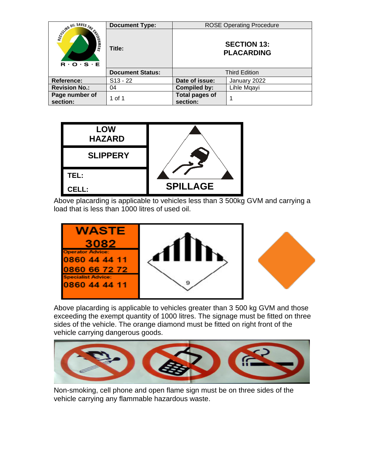|                                                                        | <b>Document Type:</b>   |                                         | <b>ROSE Operating Procedure</b> |
|------------------------------------------------------------------------|-------------------------|-----------------------------------------|---------------------------------|
| SCLING OIL SAVES THE<br><b>CHARGER!</b><br>$R \cdot O \cdot S \cdot E$ | Title:                  | <b>SECTION 13:</b><br><b>PLACARDING</b> |                                 |
|                                                                        | <b>Document Status:</b> | <b>Third Edition</b>                    |                                 |
| <b>Reference:</b>                                                      | $S13 - 22$              | Date of issue:                          | January 2022                    |
| <b>Revision No.:</b>                                                   | 04                      | <b>Compiled by:</b>                     | Lihle Mqayi                     |
| Page number of<br>section:                                             | 1 of 1                  | <b>Total pages of</b><br>section:       | 1                               |



Above placarding is applicable to vehicles less than 3 500kg GVM and carrying a load that is less than 1000 litres of used oil.



Above placarding is applicable to vehicles greater than 3 500 kg GVM and those exceeding the exempt quantity of 1000 litres. The signage must be fitted on three sides of the vehicle. The orange diamond must be fitted on right front of the vehicle carrying dangerous goods.



Non-smoking, cell phone and open flame sign must be on three sides of the vehicle carrying any flammable hazardous waste.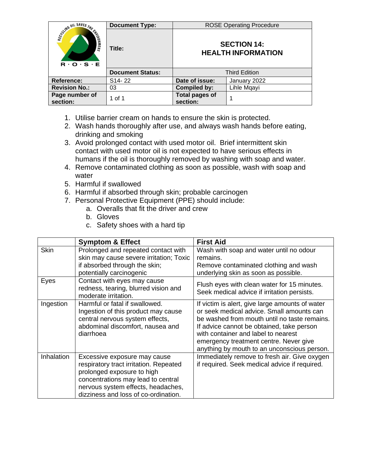|                                                                                              | <b>Document Type:</b>   |                                                 | <b>ROSE Operating Procedure</b> |
|----------------------------------------------------------------------------------------------|-------------------------|-------------------------------------------------|---------------------------------|
| Science OIL SAVES THE END<br>$\mathbf{R} \cdot \mathbf{O} \cdot \mathbf{S} \cdot \mathbf{E}$ | Title:                  | <b>SECTION 14:</b><br><b>HEALTH INFORMATION</b> |                                 |
|                                                                                              | <b>Document Status:</b> | <b>Third Edition</b>                            |                                 |
| Reference:                                                                                   | S <sub>14</sub> -22     | Date of issue:                                  | January 2022                    |
| <b>Revision No.:</b>                                                                         | 03                      | <b>Compiled by:</b>                             | Lihle Mqayi                     |
| Page number of<br>section:                                                                   | 1 of 1                  | <b>Total pages of</b><br>section:               |                                 |

- 1. Utilise barrier cream on hands to ensure the skin is protected.
- 2. Wash hands thoroughly after use, and always wash hands before eating, drinking and smoking
- 3. Avoid prolonged contact with used motor oil. Brief intermittent skin contact with used motor oil is not expected to have serious effects in humans if the oil is thoroughly removed by washing with soap and water.
- 4. Remove contaminated clothing as soon as possible, wash with soap and water
- 5. Harmful if swallowed
- 6. Harmful if absorbed through skin; probable carcinogen
- 7. Personal Protective Equipment (PPE) should include:
	- a. Overalls that fit the driver and crew
	- b. Gloves
	- c. Safety shoes with a hard tip

|             | <b>Symptom &amp; Effect</b>                                                                                                                                                                                              | <b>First Aid</b>                                                                                                                                                                                                                                                                                                          |
|-------------|--------------------------------------------------------------------------------------------------------------------------------------------------------------------------------------------------------------------------|---------------------------------------------------------------------------------------------------------------------------------------------------------------------------------------------------------------------------------------------------------------------------------------------------------------------------|
| <b>Skin</b> | Prolonged and repeated contact with<br>skin may cause severe irritation; Toxic<br>if absorbed through the skin;<br>potentially carcinogenic                                                                              | Wash with soap and water until no odour<br>remains.<br>Remove contaminated clothing and wash<br>underlying skin as soon as possible.                                                                                                                                                                                      |
| Eyes        | Contact with eyes may cause<br>redness, tearing, blurred vision and<br>moderate irritation.                                                                                                                              | Flush eyes with clean water for 15 minutes.<br>Seek medical advice if irritation persists.                                                                                                                                                                                                                                |
| Ingestion   | Harmful or fatal if swallowed.<br>Ingestion of this product may cause<br>central nervous system effects,<br>abdominal discomfort, nausea and<br>diarrhoea                                                                | If victim is alert, give large amounts of water<br>or seek medical advice. Small amounts can<br>be washed from mouth until no taste remains.<br>If advice cannot be obtained, take person<br>with container and label to nearest<br>emergency treatment centre. Never give<br>anything by mouth to an unconscious person. |
| Inhalation  | Excessive exposure may cause<br>respiratory tract irritation. Repeated<br>prolonged exposure to high<br>concentrations may lead to central<br>nervous system effects, headaches,<br>dizziness and loss of co-ordination. | Immediately remove to fresh air. Give oxygen<br>if required. Seek medical advice if required.                                                                                                                                                                                                                             |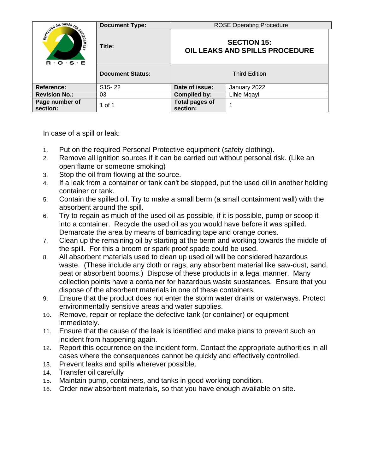|                                                               | <b>Document Type:</b>   |                                                      | <b>ROSE Operating Procedure</b> |  |
|---------------------------------------------------------------|-------------------------|------------------------------------------------------|---------------------------------|--|
| <b>CONTROLL SAVES THE FALL</b><br>$R \cdot O \cdot S \cdot E$ | Title:                  | <b>SECTION 15:</b><br>OIL LEAKS AND SPILLS PROCEDURE |                                 |  |
|                                                               | <b>Document Status:</b> | <b>Third Edition</b>                                 |                                 |  |
| <b>Reference:</b>                                             | S15-22                  | Date of issue:                                       | January 2022                    |  |
| <b>Revision No.:</b>                                          | 03                      | <b>Compiled by:</b>                                  | Lihle Mqayi                     |  |
| Page number of<br>section:                                    | 1 of 1                  | <b>Total pages of</b><br>section:                    |                                 |  |

In case of a spill or leak:

- 1. Put on the required Personal Protective equipment (safety clothing).
- 2. Remove all ignition sources if it can be carried out without personal risk. (Like an open flame or someone smoking)
- 3. Stop the oil from flowing at the source.
- 4. If a leak from a container or tank can't be stopped, put the used oil in another holding container or tank.
- 5. Contain the spilled oil. Try to make a small berm (a small containment wall) with the absorbent around the spill.
- 6. Try to regain as much of the used oil as possible, if it is possible, pump or scoop it into a container. Recycle the used oil as you would have before it was spilled. Demarcate the area by means of barricading tape and orange cones.
- 7. Clean up the remaining oil by starting at the berm and working towards the middle of the spill. For this a broom or spark proof spade could be used.
- 8. All absorbent materials used to clean up used oil will be considered hazardous waste. (These include any cloth or rags, any absorbent material like saw-dust, sand, peat or absorbent booms.) Dispose of these products in a legal manner. Many collection points have a container for hazardous waste substances. Ensure that you dispose of the absorbent materials in one of these containers.
- 9. Ensure that the product does not enter the storm water drains or waterways. Protect environmentally sensitive areas and water supplies.
- 10. Remove, repair or replace the defective tank (or container) or equipment immediately.
- 11. Ensure that the cause of the leak is identified and make plans to prevent such an incident from happening again.
- 12. Report this occurrence on the incident form. Contact the appropriate authorities in all cases where the consequences cannot be quickly and effectively controlled.
- 13. Prevent leaks and spills wherever possible.
- 14. Transfer oil carefully
- 15. Maintain pump, containers, and tanks in good working condition.
- 16. Order new absorbent materials, so that you have enough available on site.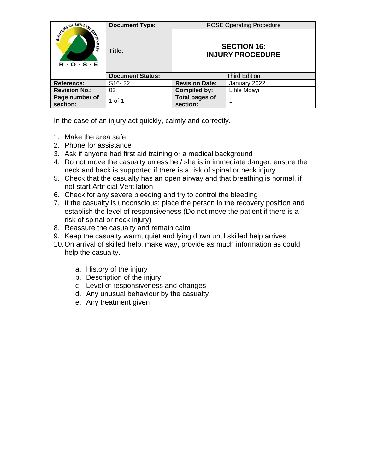|                                                                                                 | <b>Document Type:</b>   |                                               | <b>ROSE Operating Procedure</b> |
|-------------------------------------------------------------------------------------------------|-------------------------|-----------------------------------------------|---------------------------------|
| Scyling OIL SAVES THE CHARGE<br>$\mathbf{R} \cdot \mathbf{O} \cdot \mathbf{S} \cdot \mathbf{E}$ | Title:                  | <b>SECTION 16:</b><br><b>INJURY PROCEDURE</b> |                                 |
|                                                                                                 | <b>Document Status:</b> |                                               | <b>Third Edition</b>            |
| <b>Reference:</b>                                                                               | S <sub>16</sub> -22     | <b>Revision Date:</b>                         | January 2022                    |
| <b>Revision No.:</b>                                                                            | 03                      | <b>Compiled by:</b>                           | Lihle Mgayi                     |
| Page number of<br>section:                                                                      | 1 of 1                  | <b>Total pages of</b><br>section:             |                                 |

In the case of an injury act quickly, calmly and correctly.

- 1. Make the area safe
- 2. Phone for assistance
- 3. Ask if anyone had first aid training or a medical background
- 4. Do not move the casualty unless he / she is in immediate danger, ensure the neck and back is supported if there is a risk of spinal or neck injury.
- 5. Check that the casualty has an open airway and that breathing is normal, if not start Artificial Ventilation
- 6. Check for any severe bleeding and try to control the bleeding
- 7. If the casualty is unconscious; place the person in the recovery position and establish the level of responsiveness (Do not move the patient if there is a risk of spinal or neck injury)
- 8. Reassure the casualty and remain calm
- 9. Keep the casualty warm, quiet and lying down until skilled help arrives
- 10.On arrival of skilled help, make way, provide as much information as could help the casualty.
	- a. History of the injury
	- b. Description of the injury
	- c. Level of responsiveness and changes
	- d. Any unusual behaviour by the casualty
	- e. Any treatment given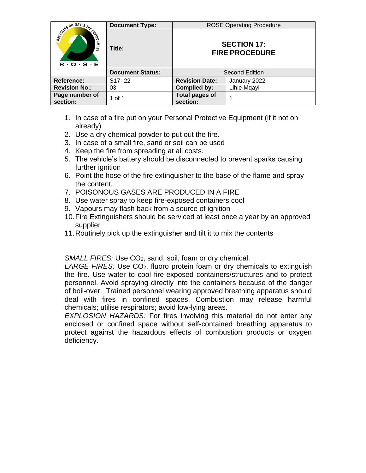|                                                        | <b>Document Type:</b>   |                                             | <b>ROSE Operating Procedure</b> |
|--------------------------------------------------------|-------------------------|---------------------------------------------|---------------------------------|
| SCUMB OIL SAVES THE END<br>$R \cdot O \cdot S \cdot E$ | Title:                  | <b>SECTION 17:</b><br><b>FIRE PROCEDURE</b> |                                 |
|                                                        | <b>Document Status:</b> |                                             | Second Edition                  |
| <b>Reference:</b>                                      | S <sub>17</sub> -22     | <b>Revision Date:</b>                       | January 2022                    |
| <b>Revision No.:</b>                                   | 03                      | <b>Compiled by:</b>                         | Lihle Mgayi                     |
| Page number of<br>section:                             | 1 of 1                  | <b>Total pages of</b><br>section:           |                                 |

- 1. In case of a fire put on your Personal Protective Equipment (if it not on already)
- 2. Use a dry chemical powder to put out the fire.
- 3. In case of a small fire, sand or soil can be used
- 4. Keep the fire from spreading at all costs.
- 5. The vehicle's battery should be disconnected to prevent sparks causing further ignition
- 6. Point the hose of the fire extinguisher to the base of the flame and spray the content.
- 7. POISONOUS GASES ARE PRODUCED IN A FIRE
- 8. Use water spray to keep fire-exposed containers cool
- 9. Vapours may flash back from a source of ignition
- 10.Fire Extinguishers should be serviced at least once a year by an approved supplier
- 11.Routinely pick up the extinguisher and tilt it to mix the contents

*SMALL FIRES:* Use CO<sub>2</sub>, sand, soil, foam or dry chemical.

LARGE FIRES: Use CO<sub>2</sub>, fluoro protein foam or dry chemicals to extinguish the fire. Use water to cool fire-exposed containers/structures and to protect personnel. Avoid spraying directly into the containers because of the danger of boil-over. Trained personnel wearing approved breathing apparatus should deal with fires in confined spaces. Combustion may release harmful chemicals; utilise respirators; avoid low-lying areas.

*EXPLOSION HAZARDS:* For fires involving this material do not enter any enclosed or confined space without self-contained breathing apparatus to protect against the hazardous effects of combustion products or oxygen deficiency.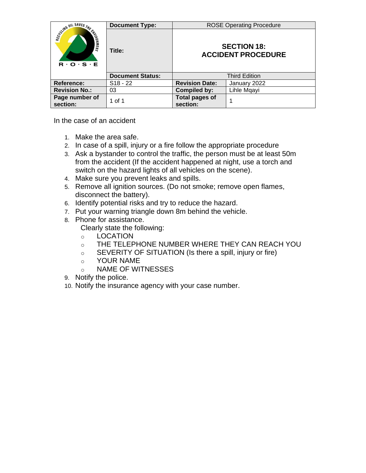|                                                           | <b>Document Type:</b>   |                                                 | <b>ROSE Operating Procedure</b> |
|-----------------------------------------------------------|-------------------------|-------------------------------------------------|---------------------------------|
| Scyling OIL SAVES THE FILE<br>$R \cdot Q \cdot S \cdot E$ | Title:                  | <b>SECTION 18:</b><br><b>ACCIDENT PROCEDURE</b> |                                 |
|                                                           | <b>Document Status:</b> | <b>Third Edition</b>                            |                                 |
| Reference:                                                | $S18 - 22$              | <b>Revision Date:</b>                           | January 2022                    |
| <b>Revision No.:</b>                                      | 03                      | <b>Compiled by:</b>                             | Lihle Mqayi                     |
| Page number of<br>section:                                | 1 of 1                  | Total pages of<br>section:                      |                                 |

In the case of an accident

- 1. Make the area safe.
- 2. In case of a spill, injury or a fire follow the appropriate procedure
- 3. Ask a bystander to control the traffic, the person must be at least 50m from the accident (If the accident happened at night, use a torch and switch on the hazard lights of all vehicles on the scene).
- 4. Make sure you prevent leaks and spills.
- 5. Remove all ignition sources. (Do not smoke; remove open flames, disconnect the battery).
- 6. Identify potential risks and try to reduce the hazard.
- 7. Put your warning triangle down 8m behind the vehicle.
- 8. Phone for assistance. Clearly state the following:
	- o LOCATION
	- o THE TELEPHONE NUMBER WHERE THEY CAN REACH YOU
	- o SEVERITY OF SITUATION (Is there a spill, injury or fire)
	- o YOUR NAME
	- o NAME OF WITNESSES
- 9. Notify the police.
- 10. Notify the insurance agency with your case number.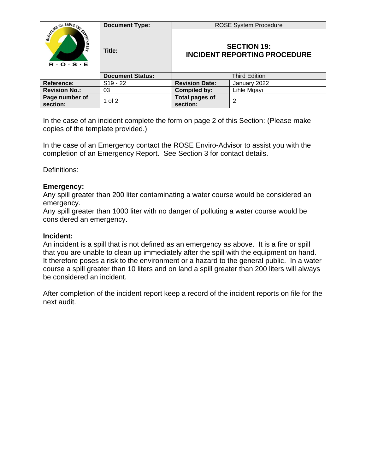|                                                           | <b>Document Type:</b>   |                                                           | <b>ROSE System Procedure</b> |
|-----------------------------------------------------------|-------------------------|-----------------------------------------------------------|------------------------------|
| Science OIL SAVES THE FILE<br>$R \cdot O \cdot S \cdot E$ | Title:                  | <b>SECTION 19:</b><br><b>INCIDENT REPORTING PROCEDURE</b> |                              |
|                                                           | <b>Document Status:</b> | Third Edition                                             |                              |
| Reference:                                                | $S19 - 22$              | <b>Revision Date:</b>                                     | January 2022                 |
| <b>Revision No.:</b>                                      | 03                      | Compiled by:                                              | Lihle Mqayi                  |
| Page number of<br>section:                                | 1 of $2$                | <b>Total pages of</b><br>section:                         | 2                            |

In the case of an incident complete the form on page 2 of this Section: (Please make copies of the template provided.)

In the case of an Emergency contact the ROSE Enviro-Advisor to assist you with the completion of an Emergency Report. See Section 3 for contact details.

Definitions:

## **Emergency:**

Any spill greater than 200 liter contaminating a water course would be considered an emergency.

Any spill greater than 1000 liter with no danger of polluting a water course would be considered an emergency.

## **Incident:**

An incident is a spill that is not defined as an emergency as above. It is a fire or spill that you are unable to clean up immediately after the spill with the equipment on hand. It therefore poses a risk to the environment or a hazard to the general public. In a water course a spill greater than 10 liters and on land a spill greater than 200 liters will always be considered an incident.

After completion of the incident report keep a record of the incident reports on file for the next audit.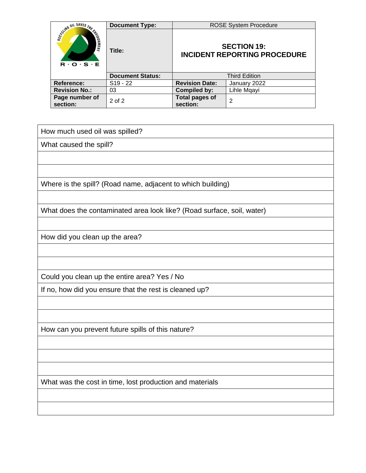|                                                                                                                | <b>Document Type:</b>   | <b>ROSE System Procedure</b>                              |              |
|----------------------------------------------------------------------------------------------------------------|-------------------------|-----------------------------------------------------------|--------------|
| SCUMB UIL SAVES THE<br><b>CALLISON NEWS</b><br>$\mathbf{R} \cdot \mathbf{O} \cdot \mathbf{S} \cdot \mathbf{E}$ | Title:                  | <b>SECTION 19:</b><br><b>INCIDENT REPORTING PROCEDURE</b> |              |
|                                                                                                                | <b>Document Status:</b> | <b>Third Edition</b>                                      |              |
| <b>Reference:</b>                                                                                              | $S19 - 22$              | <b>Revision Date:</b>                                     | January 2022 |
| <b>Revision No.:</b>                                                                                           | 03                      | Compiled by:                                              | Lihle Mqayi  |
| Page number of<br>section:                                                                                     | $2$ of $2$              | <b>Total pages of</b><br>section:                         | 2            |

How much used oil was spilled?

What caused the spill?

Where is the spill? (Road name, adjacent to which building)

What does the contaminated area look like? (Road surface, soil, water)

How did you clean up the area?

Could you clean up the entire area? Yes / No

If no, how did you ensure that the rest is cleaned up?

How can you prevent future spills of this nature?

What was the cost in time, lost production and materials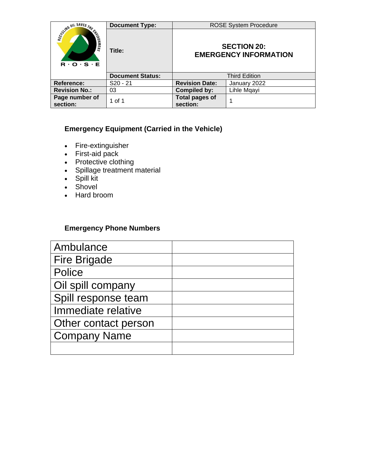|                                                                                                                | <b>Document Type:</b>   |                                                    | <b>ROSE System Procedure</b> |
|----------------------------------------------------------------------------------------------------------------|-------------------------|----------------------------------------------------|------------------------------|
| SCUMB UIL SAVES THE<br><b>FINERIAL REAL</b><br>$\mathbf{R} \cdot \mathbf{O} \cdot \mathbf{S} \cdot \mathbf{E}$ | Title:                  | <b>SECTION 20:</b><br><b>EMERGENCY INFORMATION</b> |                              |
|                                                                                                                | <b>Document Status:</b> |                                                    | <b>Third Edition</b>         |
| Reference:                                                                                                     | $S20 - 21$              | <b>Revision Date:</b>                              | January 2022                 |
| <b>Revision No.:</b>                                                                                           | 03                      | <b>Compiled by:</b>                                | Lihle Mgayi                  |
| Page number of<br>section:                                                                                     | 1 of 1                  | <b>Total pages of</b><br>section:                  |                              |

## **Emergency Equipment (Carried in the Vehicle)**

- Fire-extinguisher
- First-aid pack
- Protective clothing
- Spillage treatment material
- Spill kit
- Shovel
- Hard broom

## **Emergency Phone Numbers**

| Ambulance            |  |
|----------------------|--|
| <b>Fire Brigade</b>  |  |
| Police               |  |
| Oil spill company    |  |
| Spill response team  |  |
| Immediate relative   |  |
| Other contact person |  |
| <b>Company Name</b>  |  |
|                      |  |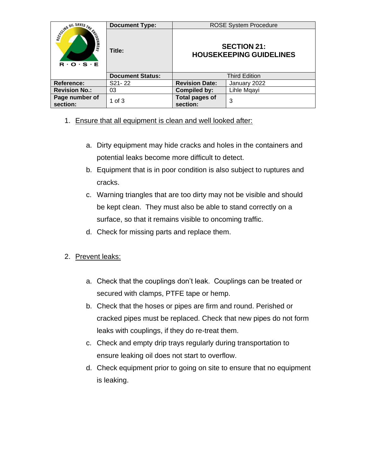|                                                             | <b>Document Type:</b>   |                                                      | <b>ROSE System Procedure</b> |
|-------------------------------------------------------------|-------------------------|------------------------------------------------------|------------------------------|
| Scyling OIL SAVES THE CHARGE<br>$R \cdot O \cdot S \cdot E$ | Title:                  | <b>SECTION 21:</b><br><b>HOUSEKEEPING GUIDELINES</b> |                              |
|                                                             | <b>Document Status:</b> |                                                      | <b>Third Edition</b>         |
| Reference:                                                  | S21-22                  | <b>Revision Date:</b>                                | January 2022                 |
| <b>Revision No.:</b>                                        | 03                      | <b>Compiled by:</b>                                  | Lihle Mgayi                  |
| Page number of<br>section:                                  | 1 of $3$                | <b>Total pages of</b><br>section:                    | 3                            |

- 1. Ensure that all equipment is clean and well looked after:
	- a. Dirty equipment may hide cracks and holes in the containers and potential leaks become more difficult to detect.
	- b. Equipment that is in poor condition is also subject to ruptures and cracks.
	- c. Warning triangles that are too dirty may not be visible and should be kept clean. They must also be able to stand correctly on a surface, so that it remains visible to oncoming traffic.
	- d. Check for missing parts and replace them.
- 2. Prevent leaks:
	- a. Check that the couplings don't leak. Couplings can be treated or secured with clamps, PTFE tape or hemp.
	- b. Check that the hoses or pipes are firm and round. Perished or cracked pipes must be replaced. Check that new pipes do not form leaks with couplings, if they do re-treat them.
	- c. Check and empty drip trays regularly during transportation to ensure leaking oil does not start to overflow.
	- d. Check equipment prior to going on site to ensure that no equipment is leaking.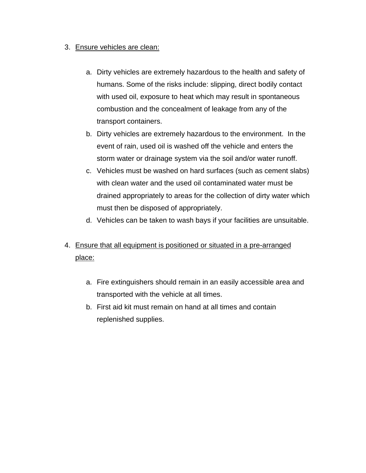## 3. Ensure vehicles are clean:

- a. Dirty vehicles are extremely hazardous to the health and safety of humans. Some of the risks include: slipping, direct bodily contact with used oil, exposure to heat which may result in spontaneous combustion and the concealment of leakage from any of the transport containers.
- b. Dirty vehicles are extremely hazardous to the environment. In the event of rain, used oil is washed off the vehicle and enters the storm water or drainage system via the soil and/or water runoff.
- c. Vehicles must be washed on hard surfaces (such as cement slabs) with clean water and the used oil contaminated water must be drained appropriately to areas for the collection of dirty water which must then be disposed of appropriately.
- d. Vehicles can be taken to wash bays if your facilities are unsuitable.

# 4. Ensure that all equipment is positioned or situated in a pre-arranged place:

- a. Fire extinguishers should remain in an easily accessible area and transported with the vehicle at all times.
- b. First aid kit must remain on hand at all times and contain replenished supplies.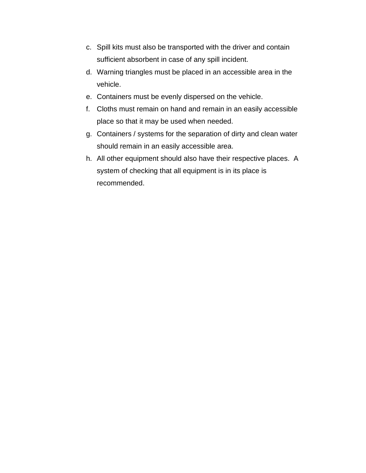- c. Spill kits must also be transported with the driver and contain sufficient absorbent in case of any spill incident.
- d. Warning triangles must be placed in an accessible area in the vehicle.
- e. Containers must be evenly dispersed on the vehicle.
- f. Cloths must remain on hand and remain in an easily accessible place so that it may be used when needed.
- g. Containers / systems for the separation of dirty and clean water should remain in an easily accessible area.
- h. All other equipment should also have their respective places. A system of checking that all equipment is in its place is recommended.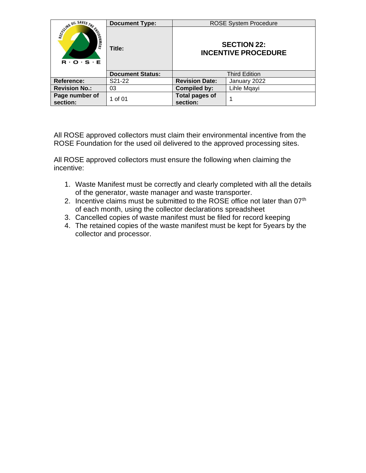|                                                                      | <b>Document Type:</b>   | <b>ROSE System Procedure</b>                     |                      |
|----------------------------------------------------------------------|-------------------------|--------------------------------------------------|----------------------|
| SCUMB OIL SAVES THE<br><b>ENLIERS</b><br>$R \cdot O \cdot S \cdot E$ | Title:                  | <b>SECTION 22:</b><br><b>INCENTIVE PROCEDURE</b> |                      |
|                                                                      | <b>Document Status:</b> |                                                  | <b>Third Edition</b> |
| Reference:                                                           | S21-22                  | <b>Revision Date:</b>                            | January 2022         |
| <b>Revision No.:</b>                                                 | 03                      | <b>Compiled by:</b>                              | Lihle Mgayi          |
| Page number of<br>section:                                           | 1 of 01                 | <b>Total pages of</b><br>section:                |                      |

All ROSE approved collectors must claim their environmental incentive from the ROSE Foundation for the used oil delivered to the approved processing sites.

All ROSE approved collectors must ensure the following when claiming the incentive:

- 1. Waste Manifest must be correctly and clearly completed with all the details of the generator, waste manager and waste transporter.
- 2. Incentive claims must be submitted to the ROSE office not later than 07<sup>th</sup> of each month, using the collector declarations spreadsheet
- 3. Cancelled copies of waste manifest must be filed for record keeping
- 4. The retained copies of the waste manifest must be kept for 5years by the collector and processor.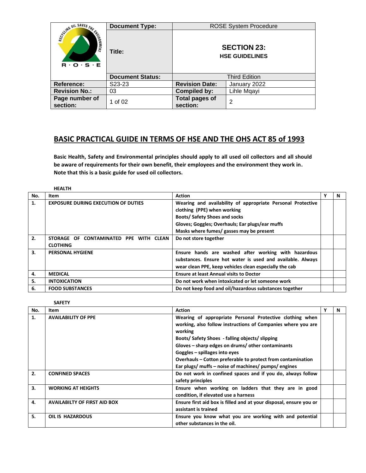|                                                                      | <b>Document Type:</b>   | <b>ROSE System Procedure</b>                |                      |  |
|----------------------------------------------------------------------|-------------------------|---------------------------------------------|----------------------|--|
| SCUMB OIL SAVES THE<br><b>ENLIERS</b><br>$R \cdot O \cdot S \cdot E$ | Title:                  | <b>SECTION 23:</b><br><b>HSE GUIDELINES</b> |                      |  |
|                                                                      | <b>Document Status:</b> |                                             | <b>Third Edition</b> |  |
| Reference:                                                           | S <sub>23</sub> -23     | <b>Revision Date:</b>                       | January 2022         |  |
| <b>Revision No.:</b>                                                 | 03                      | <b>Compiled by:</b>                         | Lihle Mqayi          |  |
| Page number of<br>section:                                           | 1 of 02                 | <b>Total pages of</b><br>section:           | 2                    |  |

# **BASIC PRACTICAL GUIDE IN TERMS OF HSE AND THE OHS ACT 85 of 1993**

**Basic Health, Safety and Environmental principles should apply to all used oil collectors and all should be aware of requirements for their own benefit, their employees and the environment they work in. Note that this is a basic guide for used oil collectors.** 

|     | <b>HEALTH</b>                              |                                                             |   |   |
|-----|--------------------------------------------|-------------------------------------------------------------|---|---|
| No. | Item                                       | <b>Action</b>                                               | Υ | N |
| 1.  | <b>EXPOSURE DURING EXECUTION OF DUTIES</b> | Wearing and availability of appropriate Personal Protective |   |   |
|     |                                            | clothing (PPE) when working                                 |   |   |
|     |                                            | <b>Boots/ Safety Shoes and socks</b>                        |   |   |
|     |                                            | Gloves; Goggles; Overhauls; Ear plugs/ear muffs             |   |   |
|     |                                            | Masks where fumes/ gasses may be present                    |   |   |
| 2.  | STORAGE OF CONTAMINATED PPE WITH CLEAN     | Do not store together                                       |   |   |
|     | <b>CLOTHING</b>                            |                                                             |   |   |
| 3.  | <b>PERSONAL HYGIENE</b>                    | Ensure hands are washed after working with hazardous        |   |   |
|     |                                            | substances. Ensure hot water is used and available. Always  |   |   |
|     |                                            | wear clean PPE, keep vehicles clean especially the cab      |   |   |
| 4.  | <b>MEDICAL</b>                             | <b>Ensure at least Annual visits to Doctor</b>              |   |   |
| 5.  | <b>INTOXICATION</b>                        | Do not work when intoxicated or let someone work            |   |   |
| 6.  | <b>FOOD SUBSTANCES</b>                     | Do not keep food and oil/hazardous substances together      |   |   |

| No. | Item                                | <b>Action</b>                                                           | N |
|-----|-------------------------------------|-------------------------------------------------------------------------|---|
| 1.  | <b>AVAILABILITY OF PPE</b>          | Wearing of appropriate Personal Protective clothing when                |   |
|     |                                     | working, also follow instructions of Companies where you are<br>working |   |
|     |                                     | Boots/ Safety Shoes - falling objects/ slipping                         |   |
|     |                                     | Gloves - sharp edges on drums/ other contaminants                       |   |
|     |                                     | Goggles - spillages into eyes                                           |   |
|     |                                     | Overhauls – Cotton preferable to protect from contamination             |   |
|     |                                     | Ear plugs/ muffs - noise of machines/ pumps/ engines                    |   |
| 2.  | <b>CONFINED SPACES</b>              | Do not work in confined spaces and if you do, always follow             |   |
|     |                                     | safety principles                                                       |   |
| 3.  | <b>WORKING AT HEIGHTS</b>           | Ensure when working on ladders that they are in good                    |   |
|     |                                     | condition, if elevated use a harness                                    |   |
| 4.  | <b>AVAILABILTY OF FIRST AID BOX</b> | Ensure first aid box is filled and at your disposal, ensure you or      |   |
|     |                                     | assistant is trained                                                    |   |
| 5.  | <b>OIL IS HAZARDOUS</b>             | Ensure you know what you are working with and potential                 |   |
|     |                                     | other substances in the oil.                                            |   |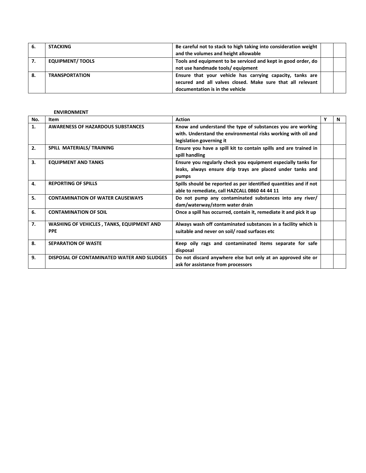| 6. | <b>STACKING</b>         | Be careful not to stack to high taking into consideration weight |  |
|----|-------------------------|------------------------------------------------------------------|--|
|    |                         | and the volumes and height allowable                             |  |
| 7. | <b>EQUIPMENT/ TOOLS</b> | Tools and equipment to be serviced and kept in good order, do    |  |
|    |                         | not use handmade tools/equipment                                 |  |
| 8. | <b>TRANSPORTATION</b>   | Ensure that your vehicle has carrying capacity, tanks are        |  |
|    |                         | secured and all valves closed. Make sure that all relevant       |  |
|    |                         | documentation is in the vehicle                                  |  |

### **ENVIRONMENT**

| No. | Item                                                           | <b>Action</b>                                                                                                                                           | Y | N |
|-----|----------------------------------------------------------------|---------------------------------------------------------------------------------------------------------------------------------------------------------|---|---|
| 1.  | <b>AWARENESS OF HAZARDOUS SUBSTANCES</b>                       | Know and understand the type of substances you are working<br>with. Understand the environmental risks working with oil and<br>legislation governing it |   |   |
| 2.  | SPILL MATERIALS/ TRAINING                                      | Ensure you have a spill kit to contain spills and are trained in<br>spill handling                                                                      |   |   |
| 3.  | <b>EQUIPMENT AND TANKS</b>                                     | Ensure you regularly check you equipment especially tanks for<br>leaks, always ensure drip trays are placed under tanks and<br>pumps                    |   |   |
| 4.  | <b>REPORTING OF SPILLS</b>                                     | Spills should be reported as per identified quantities and if not<br>able to remediate, call HAZCALL 0860 44 44 11                                      |   |   |
| 5.  | <b>CONTAMINATION OF WATER CAUSEWAYS</b>                        | Do not pump any contaminated substances into any river/<br>dam/waterway/storm water drain                                                               |   |   |
| 6.  | <b>CONTAMINATION OF SOIL</b>                                   | Once a spill has occurred, contain it, remediate it and pick it up                                                                                      |   |   |
| 7.  | <b>WASHING OF VEHICLES, TANKS, EQUIPMENT AND</b><br><b>PPE</b> | Always wash off contaminated substances in a facility which is<br>suitable and never on soil/road surfaces etc                                          |   |   |
| 8.  | <b>SEPARATION OF WASTE</b>                                     | Keep oily rags and contaminated items separate for safe<br>disposal                                                                                     |   |   |
| 9.  | DISPOSAL OF CONTAMINATED WATER AND SLUDGES                     | Do not discard anywhere else but only at an approved site or<br>ask for assistance from processors                                                      |   |   |